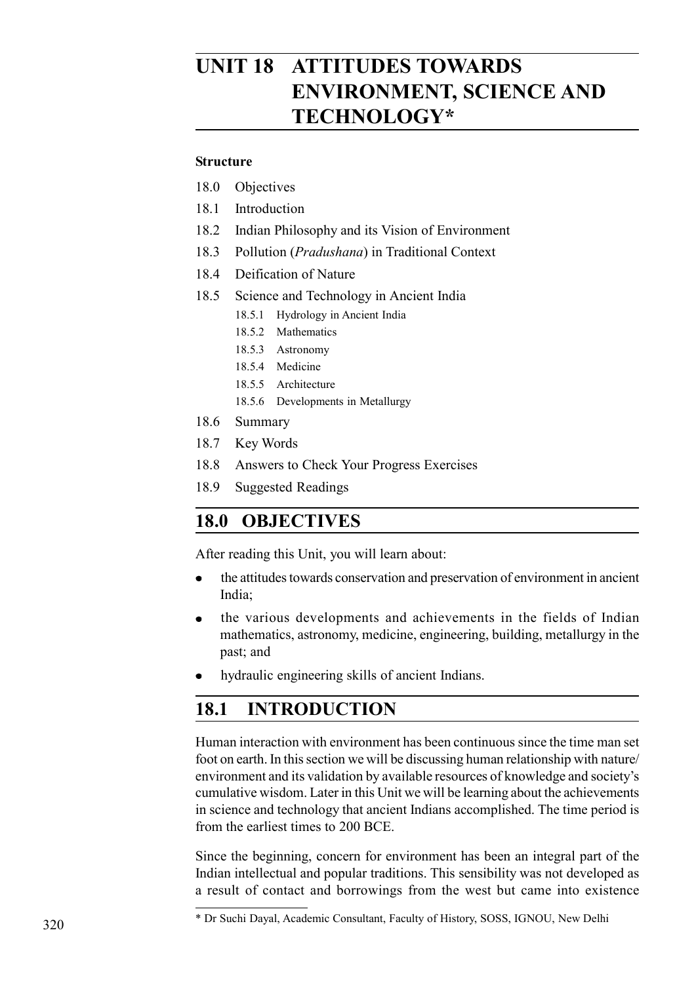# **UNIT 18 ATTITUDES TOWARDS ENVIRONMENT, SCIENCE AND TECHNOLOGY\***

#### **Structure**

- 18.0 Objectives
- 18.1 Introduction
- 18.2 Indian Philosophy and its Vision of Environment
- 18.3 Pollution (*Pradushana*) in Traditional Context
- 18.4 Deification of Nature
- 18.5 Science and Technology in Ancient India
	- 18.5.1 Hydrology in Ancient India
	- 18.5.2 Mathematics
	- 18.5.3 Astronomy
	- 18.5.4 Medicine
	- 18.5.5 Architecture
	- 18.5.6 Developments in Metallurgy
- 18.6 Summary
- 18.7 Key Words
- 18.8 Answers to Check Your Progress Exercises
- 18.9 Suggested Readings

# **18.0 OBJECTIVES**

After reading this Unit, you will learn about:

- the attitudes towards conservation and preservation of environment in ancient India;
- the various developments and achievements in the fields of Indian mathematics, astronomy, medicine, engineering, building, metallurgy in the past; and
- hydraulic engineering skills of ancient Indians.

# **18.1 INTRODUCTION**

Human interaction with environment has been continuous since the time man set foot on earth. In this section we will be discussing human relationship with nature/ environment and its validation by available resources of knowledge and society's cumulative wisdom. Later in this Unit we will be learning about the achievements in science and technology that ancient Indians accomplished. The time period is from the earliest times to 200 BCE.

Since the beginning, concern for environment has been an integral part of the Indian intellectual and popular traditions. This sensibility was not developed as a result of contact and borrowings from the west but came into existence

<sup>\*</sup> Dr Suchi Dayal, Academic Consultant, Faculty of History, SOSS, IGNOU, New Delhi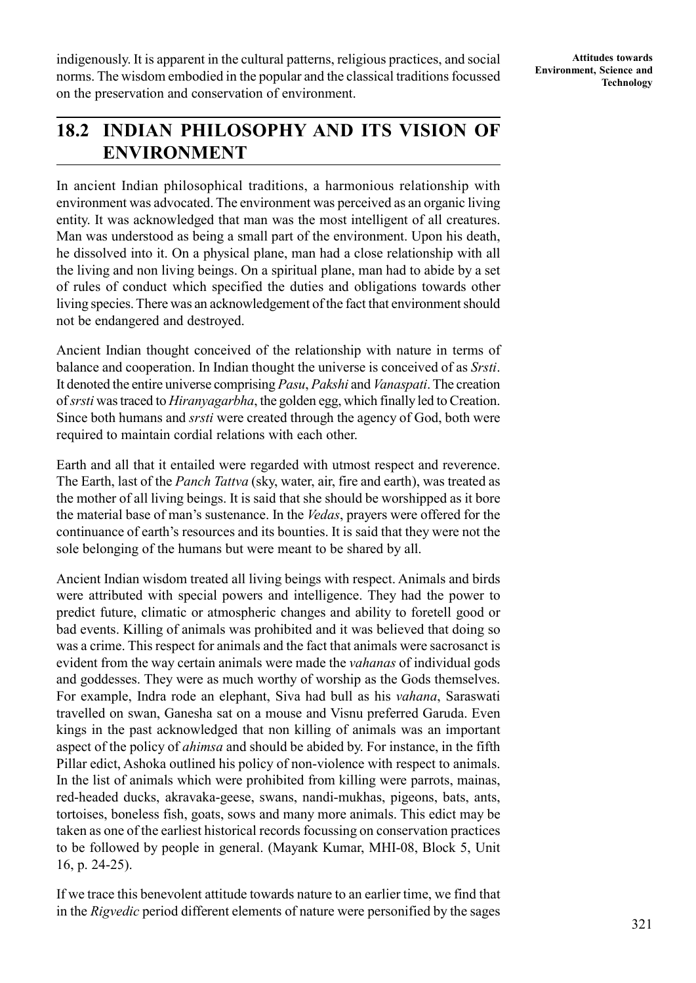indigenously. It is apparent in the cultural patterns, religious practices, and social norms. The wisdom embodied in the popular and the classical traditions focussed on the preservation and conservation of environment.

# **18.2 INDIAN PHILOSOPHY AND ITS VISION OF ENVIRONMENT**

In ancient Indian philosophical traditions, a harmonious relationship with environment was advocated. The environment was perceived as an organic living entity. It was acknowledged that man was the most intelligent of all creatures. Man was understood as being a small part of the environment. Upon his death, he dissolved into it. On a physical plane, man had a close relationship with all the living and non living beings. On a spiritual plane, man had to abide by a set of rules of conduct which specified the duties and obligations towards other living species. There was an acknowledgement of the fact that environment should not be endangered and destroyed.

Ancient Indian thought conceived of the relationship with nature in terms of balance and cooperation. In Indian thought the universe is conceived of as *Srsti*. It denoted the entire universe comprising *Pasu*, *Pakshi* and *Vanaspati*. The creation of *srsti* was traced to *Hiranyagarbha*, the golden egg, which finally led to Creation. Since both humans and *srsti* were created through the agency of God, both were required to maintain cordial relations with each other.

Earth and all that it entailed were regarded with utmost respect and reverence. The Earth, last of the *Panch Tattva* (sky, water, air, fire and earth), was treated as the mother of all living beings. It is said that she should be worshipped as it bore the material base of man's sustenance. In the *Vedas*, prayers were offered for the continuance of earth's resources and its bounties. It is said that they were not the sole belonging of the humans but were meant to be shared by all.

Ancient Indian wisdom treated all living beings with respect. Animals and birds were attributed with special powers and intelligence. They had the power to predict future, climatic or atmospheric changes and ability to foretell good or bad events. Killing of animals was prohibited and it was believed that doing so was a crime. This respect for animals and the fact that animals were sacrosanct is evident from the way certain animals were made the *vahanas* of individual gods and goddesses. They were as much worthy of worship as the Gods themselves. For example, Indra rode an elephant, Siva had bull as his *vahana*, Saraswati travelled on swan, Ganesha sat on a mouse and Visnu preferred Garuda. Even kings in the past acknowledged that non killing of animals was an important aspect of the policy of *ahimsa* and should be abided by. For instance, in the fifth Pillar edict, Ashoka outlined his policy of non-violence with respect to animals. In the list of animals which were prohibited from killing were parrots, mainas, red-headed ducks, akravaka-geese, swans, nandi-mukhas, pigeons, bats, ants, tortoises, boneless fish, goats, sows and many more animals. This edict may be taken as one of the earliest historical records focussing on conservation practices to be followed by people in general. (Mayank Kumar, MHI-08, Block 5, Unit 16, p. 24-25).

If we trace this benevolent attitude towards nature to an earlier time, we find that in the *Rigvedic* period different elements of nature were personified by the sages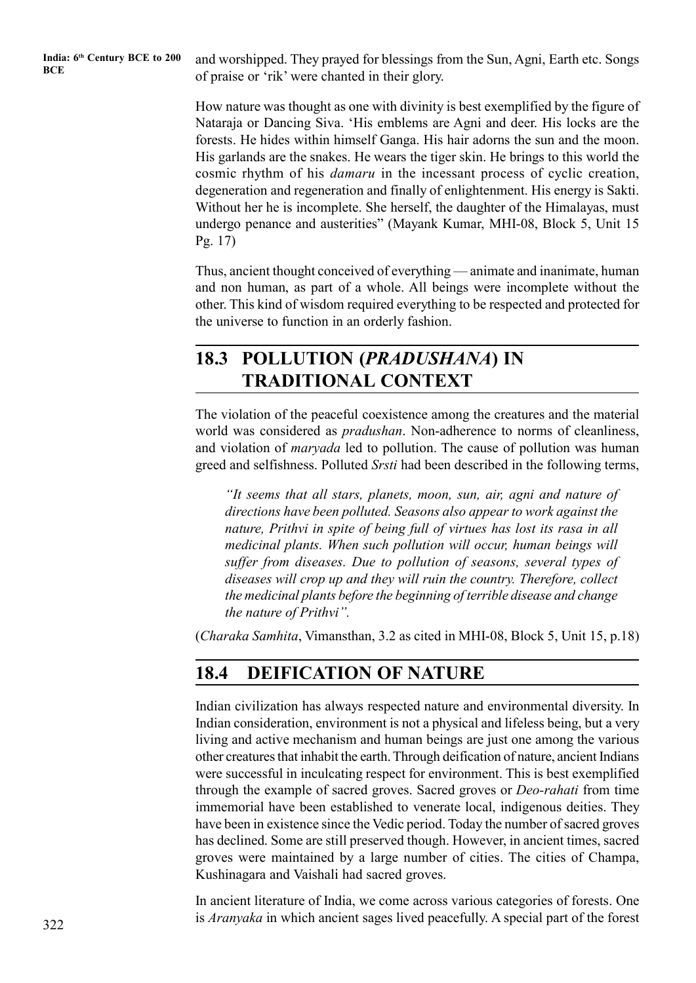**India: 6th Century BCE to 200**

India: 6<sup>th</sup> Century BCE to 200 and worshipped. They prayed for blessings from the Sun, Agni, Earth etc. Songs BCE of praise or 'rik' were chanted in their glory.

> How nature was thought as one with divinity is best exemplified by the figure of Nataraja or Dancing Siva. 'His emblems are Agni and deer. His locks are the forests. He hides within himself Ganga. His hair adorns the sun and the moon. His garlands are the snakes. He wears the tiger skin. He brings to this world the cosmic rhythm of his *damaru* in the incessant process of cyclic creation, degeneration and regeneration and finally of enlightenment. His energy is Sakti. Without her he is incomplete. She herself, the daughter of the Himalayas, must undergo penance and austerities" (Mayank Kumar, MHI-08, Block 5, Unit 15 Pg. 17)

> Thus, ancient thought conceived of everything — animate and inanimate, human and non human, as part of a whole. All beings were incomplete without the other. This kind of wisdom required everything to be respected and protected for the universe to function in an orderly fashion.

# **18.3 POLLUTION (***PRADUSHANA***) IN TRADITIONAL CONTEXT**

The violation of the peaceful coexistence among the creatures and the material world was considered as *pradushan*. Non-adherence to norms of cleanliness, and violation of *maryada* led to pollution. The cause of pollution was human greed and selfishness. Polluted *Srsti* had been described in the following terms,

*"It seems that all stars, planets, moon, sun, air, agni and nature of directions have been polluted. Seasons also appear to work against the nature, Prithvi in spite of being full of virtues has lost its rasa in all medicinal plants. When such pollution will occur, human beings will suffer from diseases. Due to pollution of seasons, several types of diseases will crop up and they will ruin the country. Therefore, collect the medicinal plants before the beginning of terrible disease and change the nature of Prithvi".*

(*Charaka Samhita*, Vimansthan, 3.2 as cited in MHI-08, Block 5, Unit 15, p.18)

# **18.4 DEIFICATION OF NATURE**

Indian civilization has always respected nature and environmental diversity. In Indian consideration, environment is not a physical and lifeless being, but a very living and active mechanism and human beings are just one among the various other creatures that inhabit the earth. Through deification of nature, ancient Indians were successful in inculcating respect for environment. This is best exemplified through the example of sacred groves. Sacred groves or *Deo-rahati* from time immemorial have been established to venerate local, indigenous deities. They have been in existence since the Vedic period. Today the number of sacred groves has declined. Some are still preserved though. However, in ancient times, sacred groves were maintained by a large number of cities. The cities of Champa, Kushinagara and Vaishali had sacred groves.

In ancient literature of India, we come across various categories of forests. One is *Aranyaka* in which ancient sages lived peacefully. A special part of the forest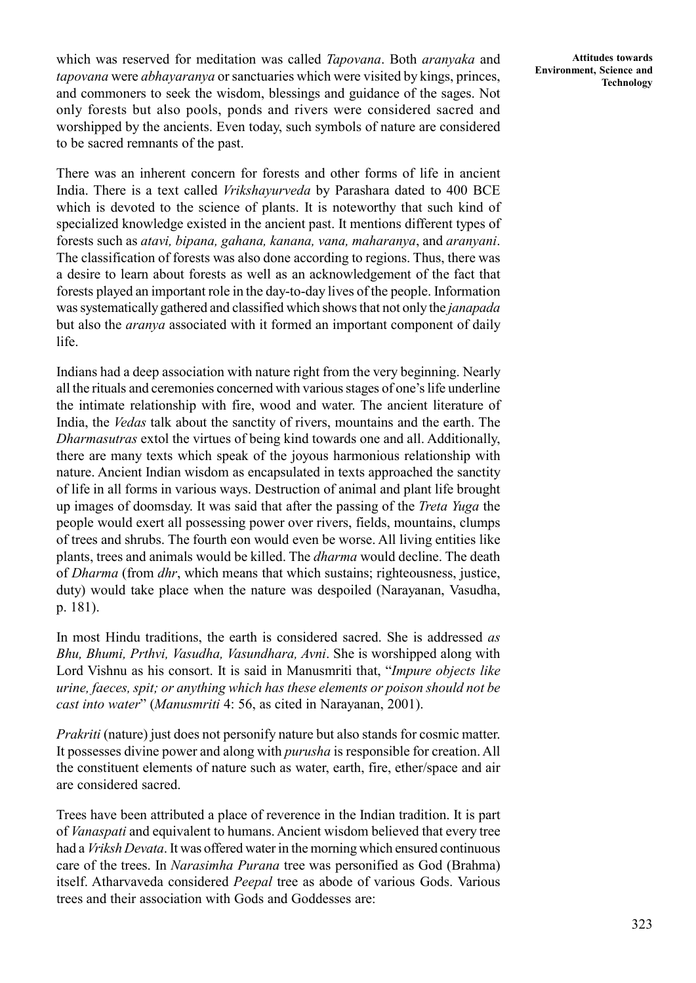which was reserved for meditation was called *Tapovana*. Both *aranyaka* and *tapovana* were *abhayaranya* or sanctuaries which were visited by kings, princes, and commoners to seek the wisdom, blessings and guidance of the sages. Not only forests but also pools, ponds and rivers were considered sacred and worshipped by the ancients. Even today, such symbols of nature are considered to be sacred remnants of the past.

There was an inherent concern for forests and other forms of life in ancient India. There is a text called *Vrikshayurveda* by Parashara dated to 400 BCE which is devoted to the science of plants. It is noteworthy that such kind of specialized knowledge existed in the ancient past. It mentions different types of forests such as *atavi, bipana, gahana, kanana, vana, maharanya*, and *aranyani*. The classification of forests was also done according to regions. Thus, there was a desire to learn about forests as well as an acknowledgement of the fact that forests played an important role in the day-to-day lives of the people. Information was systematically gathered and classified which shows that not only the *janapada* but also the *aranya* associated with it formed an important component of daily life.

Indians had a deep association with nature right from the very beginning. Nearly all the rituals and ceremonies concerned with various stages of one's life underline the intimate relationship with fire, wood and water. The ancient literature of India, the *Vedas* talk about the sanctity of rivers, mountains and the earth. The *Dharmasutras* extol the virtues of being kind towards one and all. Additionally, there are many texts which speak of the joyous harmonious relationship with nature. Ancient Indian wisdom as encapsulated in texts approached the sanctity of life in all forms in various ways. Destruction of animal and plant life brought up images of doomsday. It was said that after the passing of the *Treta Yuga* the people would exert all possessing power over rivers, fields, mountains, clumps of trees and shrubs. The fourth eon would even be worse. All living entities like plants, trees and animals would be killed. The *dharma* would decline. The death of *Dharma* (from *dhr*, which means that which sustains; righteousness, justice, duty) would take place when the nature was despoiled (Narayanan, Vasudha, p. 181).

In most Hindu traditions, the earth is considered sacred. She is addressed *as Bhu, Bhumi, Prthvi, Vasudha, Vasundhara, Avni*. She is worshipped along with Lord Vishnu as his consort. It is said in Manusmriti that, "*Impure objects like urine, faeces, spit; or anything which has these elements or poison should not be cast into water*" (*Manusmriti* 4: 56, as cited in Narayanan, 2001).

*Prakriti* (nature) just does not personify nature but also stands for cosmic matter. It possesses divine power and along with *purusha* is responsible for creation. All the constituent elements of nature such as water, earth, fire, ether/space and air are considered sacred.

Trees have been attributed a place of reverence in the Indian tradition. It is part of *Vanaspati* and equivalent to humans. Ancient wisdom believed that every tree had a *Vriksh Devata*. It was offered water in the morning which ensured continuous care of the trees. In *Narasimha Purana* tree was personified as God (Brahma) itself. Atharvaveda considered *Peepal* tree as abode of various Gods. Various trees and their association with Gods and Goddesses are: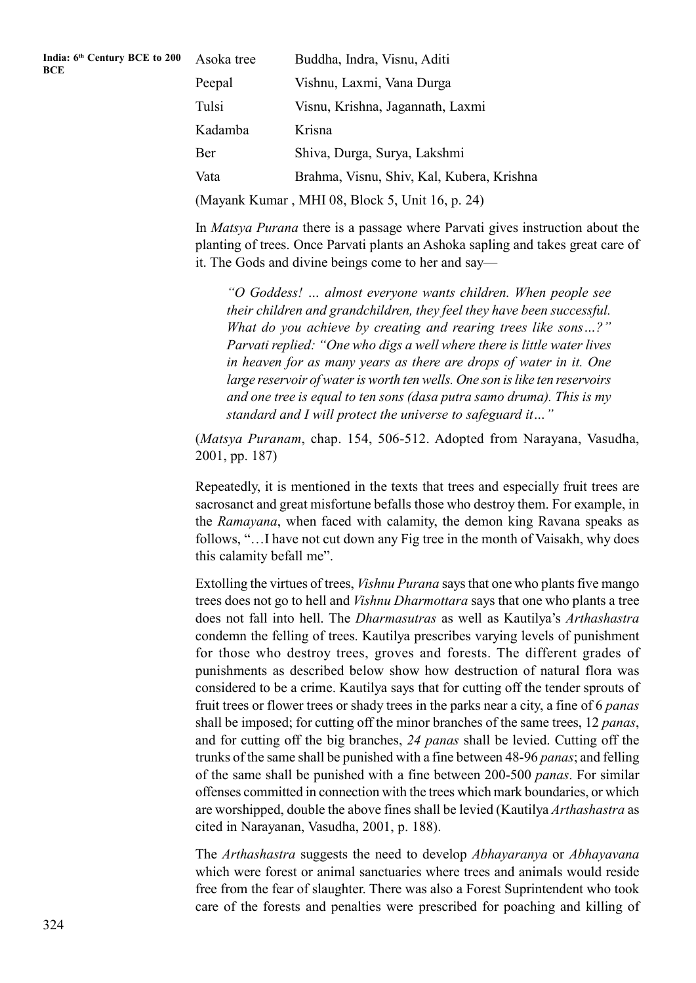| India: 6th Century BCE to 200 Asoka |  |
|-------------------------------------|--|
| <b>BCE</b>                          |  |
|                                     |  |

| Asoka tree                                      | Buddha, Indra, Visnu, Aditi               |  |
|-------------------------------------------------|-------------------------------------------|--|
| Peepal                                          | Vishnu, Laxmi, Vana Durga                 |  |
| Tulsi                                           | Visnu, Krishna, Jagannath, Laxmi          |  |
| Kadamba                                         | Krisna                                    |  |
| Ber                                             | Shiva, Durga, Surya, Lakshmi              |  |
| Vata                                            | Brahma, Visnu, Shiv, Kal, Kubera, Krishna |  |
| (Mayank Kumar, MHI 08, Block 5, Unit 16, p. 24) |                                           |  |

In *Matsya Purana* there is a passage where Parvati gives instruction about the planting of trees. Once Parvati plants an Ashoka sapling and takes great care of it. The Gods and divine beings come to her and say—

*"O Goddess! … almost everyone wants children. When people see their children and grandchildren, they feel they have been successful. What do you achieve by creating and rearing trees like sons…?" Parvati replied: "One who digs a well where there is little water lives in heaven for as many years as there are drops of water in it. One large reservoir of water is worth ten wells. One son is like ten reservoirs and one tree is equal to ten sons (dasa putra samo druma). This is my standard and I will protect the universe to safeguard it…"*

(*Matsya Puranam*, chap. 154, 506-512. Adopted from Narayana, Vasudha, 2001, pp. 187)

Repeatedly, it is mentioned in the texts that trees and especially fruit trees are sacrosanct and great misfortune befalls those who destroy them. For example, in the *Ramayana*, when faced with calamity, the demon king Ravana speaks as follows, "…I have not cut down any Fig tree in the month of Vaisakh, why does this calamity befall me".

Extolling the virtues of trees, *Vishnu Purana* says that one who plants five mango trees does not go to hell and *Vishnu Dharmottara* says that one who plants a tree does not fall into hell. The *Dharmasutras* as well as Kautilya's *Arthashastra* condemn the felling of trees. Kautilya prescribes varying levels of punishment for those who destroy trees, groves and forests. The different grades of punishments as described below show how destruction of natural flora was considered to be a crime. Kautilya says that for cutting off the tender sprouts of fruit trees or flower trees or shady trees in the parks near a city, a fine of 6 *panas* shall be imposed; for cutting off the minor branches of the same trees, 12 *panas*, and for cutting off the big branches, *24 panas* shall be levied. Cutting off the trunks of the same shall be punished with a fine between 48-96 *panas*; and felling of the same shall be punished with a fine between 200-500 *panas*. For similar offenses committed in connection with the trees which mark boundaries, or which are worshipped, double the above fines shall be levied (Kautilya *Arthashastra* as cited in Narayanan, Vasudha, 2001, p. 188).

The *Arthashastra* suggests the need to develop *Abhayaranya* or *Abhayavana* which were forest or animal sanctuaries where trees and animals would reside free from the fear of slaughter. There was also a Forest Suprintendent who took care of the forests and penalties were prescribed for poaching and killing of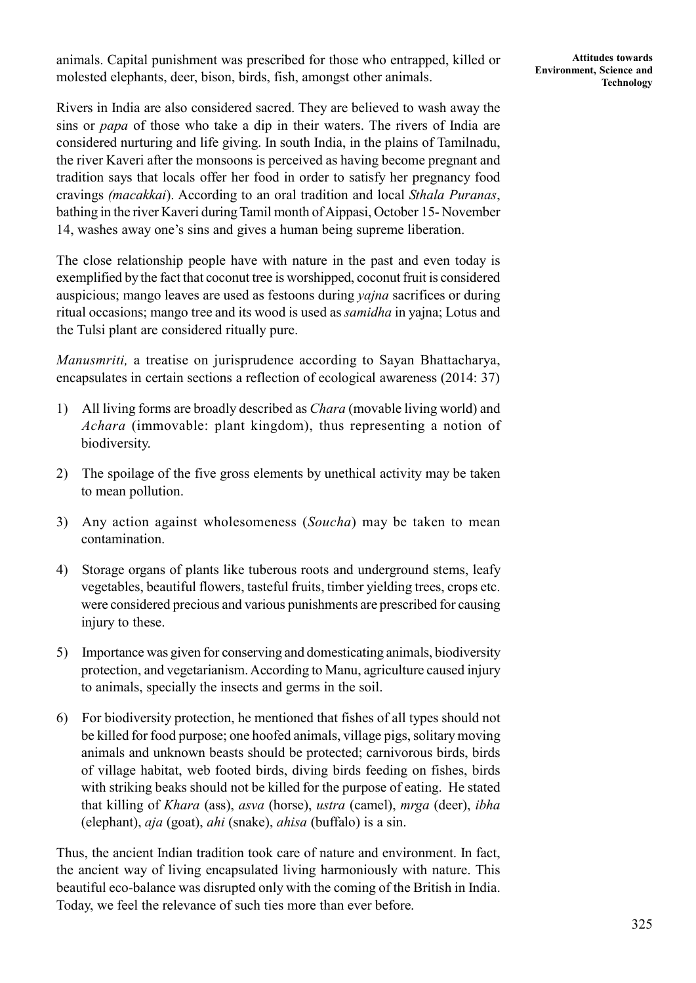animals. Capital punishment was prescribed for those who entrapped, killed or molested elephants, deer, bison, birds, fish, amongst other animals.

Rivers in India are also considered sacred. They are believed to wash away the sins or *papa* of those who take a dip in their waters. The rivers of India are considered nurturing and life giving. In south India, in the plains of Tamilnadu, the river Kaveri after the monsoons is perceived as having become pregnant and tradition says that locals offer her food in order to satisfy her pregnancy food cravings *(macakkai*). According to an oral tradition and local *Sthala Puranas*, bathing in the river Kaveri during Tamil month of Aippasi, October 15- November 14, washes away one's sins and gives a human being supreme liberation.

The close relationship people have with nature in the past and even today is exemplified by the fact that coconut tree is worshipped, coconut fruit is considered auspicious; mango leaves are used as festoons during *yajna* sacrifices or during ritual occasions; mango tree and its wood is used as *samidha* in yajna; Lotus and the Tulsi plant are considered ritually pure.

*Manusmriti,* a treatise on jurisprudence according to Sayan Bhattacharya, encapsulates in certain sections a reflection of ecological awareness (2014: 37)

- 1) All living forms are broadly described as *Chara* (movable living world) and *Achara* (immovable: plant kingdom), thus representing a notion of biodiversity.
- 2) The spoilage of the five gross elements by unethical activity may be taken to mean pollution.
- 3) Any action against wholesomeness (*Soucha*) may be taken to mean contamination.
- 4) Storage organs of plants like tuberous roots and underground stems, leafy vegetables, beautiful flowers, tasteful fruits, timber yielding trees, crops etc. were considered precious and various punishments are prescribed for causing injury to these.
- 5) Importance was given for conserving and domesticating animals, biodiversity protection, and vegetarianism. According to Manu, agriculture caused injury to animals, specially the insects and germs in the soil.
- 6) For biodiversity protection, he mentioned that fishes of all types should not be killed for food purpose; one hoofed animals, village pigs, solitary moving animals and unknown beasts should be protected; carnivorous birds, birds of village habitat, web footed birds, diving birds feeding on fishes, birds with striking beaks should not be killed for the purpose of eating. He stated that killing of *Khara* (ass), *asva* (horse), *ustra* (camel), *mrga* (deer), *ibha* (elephant), *aja* (goat), *ahi* (snake), *ahisa* (buffalo) is a sin.

Thus, the ancient Indian tradition took care of nature and environment. In fact, the ancient way of living encapsulated living harmoniously with nature. This beautiful eco-balance was disrupted only with the coming of the British in India. Today, we feel the relevance of such ties more than ever before.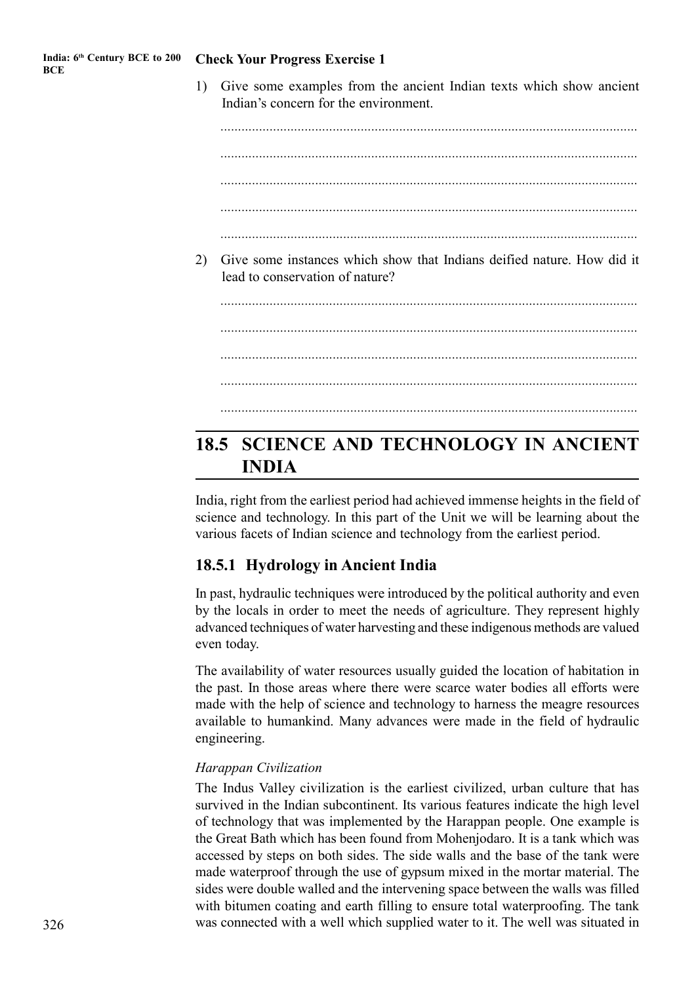1) Give some examples from the ancient Indian texts which show ancient Indian's concern for the environment.

*....................................................................................................................... ....................................................................................................................... .......................................................................................................................* 2) Give some instances which show that Indians deified nature. How did it lead to conservation of nature? *....................................................................................................................... ....................................................................................................................... ....................................................................................................................... .......................................................................................................................*

## **18.5 SCIENCE AND TECHNOLOGY IN ANCIENT INDIA**

India, right from the earliest period had achieved immense heights in the field of science and technology. In this part of the Unit we will be learning about the various facets of Indian science and technology from the earliest period.

## **18.5.1 Hydrology in Ancient India**

In past, hydraulic techniques were introduced by the political authority and even by the locals in order to meet the needs of agriculture. They represent highly advanced techniques of water harvesting and these indigenous methods are valued even today.

The availability of water resources usually guided the location of habitation in the past. In those areas where there were scarce water bodies all efforts were made with the help of science and technology to harness the meagre resources available to humankind. Many advances were made in the field of hydraulic engineering.

#### *Harappan Civilization*

The Indus Valley civilization is the earliest civilized, urban culture that has survived in the Indian subcontinent. Its various features indicate the high level of technology that was implemented by the Harappan people. One example is the Great Bath which has been found from Mohenjodaro. It is a tank which was accessed by steps on both sides. The side walls and the base of the tank were made waterproof through the use of gypsum mixed in the mortar material. The sides were double walled and the intervening space between the walls was filled with bitumen coating and earth filling to ensure total waterproofing. The tank was connected with a well which supplied water to it. The well was situated in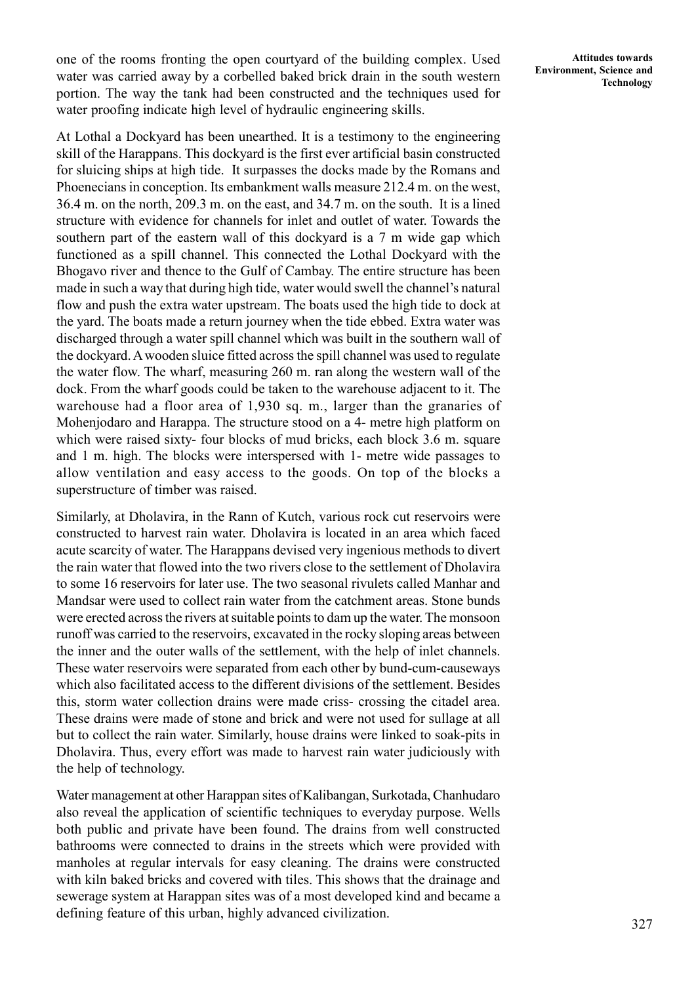one of the rooms fronting the open courtyard of the building complex. Used water was carried away by a corbelled baked brick drain in the south western portion. The way the tank had been constructed and the techniques used for water proofing indicate high level of hydraulic engineering skills.

At Lothal a Dockyard has been unearthed. It is a testimony to the engineering skill of the Harappans. This dockyard is the first ever artificial basin constructed for sluicing ships at high tide. It surpasses the docks made by the Romans and Phoenecians in conception. Its embankment walls measure 212.4 m. on the west, 36.4 m. on the north, 209.3 m. on the east, and 34.7 m. on the south. It is a lined structure with evidence for channels for inlet and outlet of water. Towards the southern part of the eastern wall of this dockyard is a 7 m wide gap which functioned as a spill channel. This connected the Lothal Dockyard with the Bhogavo river and thence to the Gulf of Cambay. The entire structure has been made in such a way that during high tide, water would swell the channel's natural flow and push the extra water upstream. The boats used the high tide to dock at the yard. The boats made a return journey when the tide ebbed. Extra water was discharged through a water spill channel which was built in the southern wall of the dockyard. A wooden sluice fitted across the spill channel was used to regulate the water flow. The wharf, measuring 260 m. ran along the western wall of the dock. From the wharf goods could be taken to the warehouse adjacent to it. The warehouse had a floor area of 1,930 sq. m., larger than the granaries of Mohenjodaro and Harappa. The structure stood on a 4- metre high platform on which were raised sixty- four blocks of mud bricks, each block 3.6 m. square and 1 m. high. The blocks were interspersed with 1- metre wide passages to allow ventilation and easy access to the goods. On top of the blocks a superstructure of timber was raised.

Similarly, at Dholavira, in the Rann of Kutch, various rock cut reservoirs were constructed to harvest rain water. Dholavira is located in an area which faced acute scarcity of water. The Harappans devised very ingenious methods to divert the rain water that flowed into the two rivers close to the settlement of Dholavira to some 16 reservoirs for later use. The two seasonal rivulets called Manhar and Mandsar were used to collect rain water from the catchment areas. Stone bunds were erected across the rivers at suitable points to dam up the water. The monsoon runoff was carried to the reservoirs, excavated in the rocky sloping areas between the inner and the outer walls of the settlement, with the help of inlet channels. These water reservoirs were separated from each other by bund-cum-causeways which also facilitated access to the different divisions of the settlement. Besides this, storm water collection drains were made criss- crossing the citadel area. These drains were made of stone and brick and were not used for sullage at all but to collect the rain water. Similarly, house drains were linked to soak-pits in Dholavira. Thus, every effort was made to harvest rain water judiciously with the help of technology.

Water management at other Harappan sites of Kalibangan, Surkotada, Chanhudaro also reveal the application of scientific techniques to everyday purpose. Wells both public and private have been found. The drains from well constructed bathrooms were connected to drains in the streets which were provided with manholes at regular intervals for easy cleaning. The drains were constructed with kiln baked bricks and covered with tiles. This shows that the drainage and sewerage system at Harappan sites was of a most developed kind and became a defining feature of this urban, highly advanced civilization.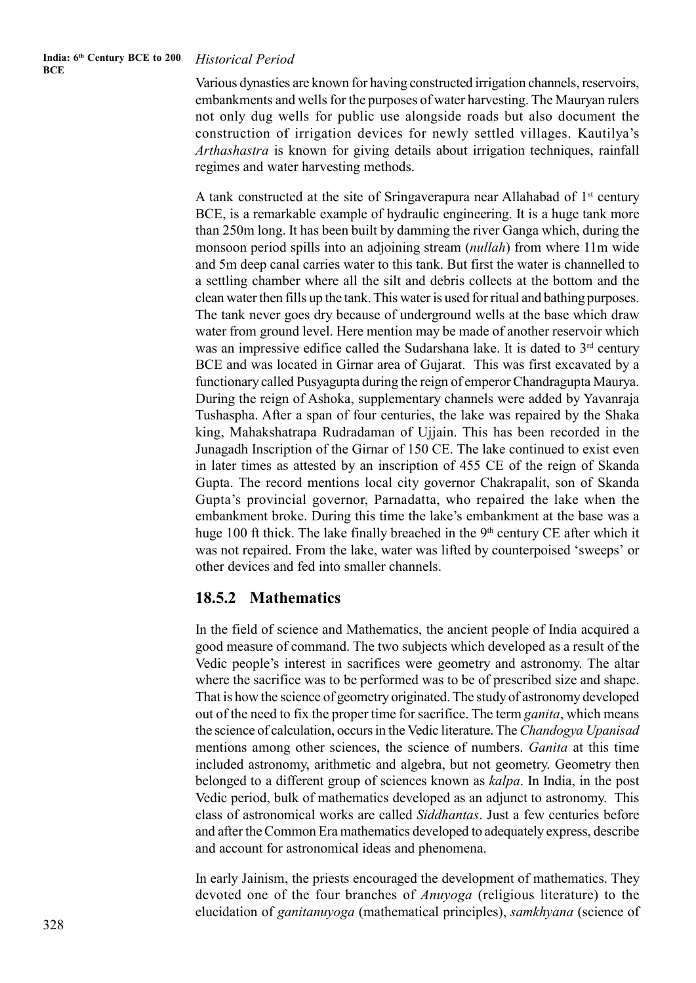#### **India: 6th Century BCE to 200 BCE**

#### *Historical Period*

Various dynasties are known for having constructed irrigation channels, reservoirs, embankments and wells for the purposes of water harvesting. The Mauryan rulers not only dug wells for public use alongside roads but also document the construction of irrigation devices for newly settled villages. Kautilya's *Arthashastra* is known for giving details about irrigation techniques, rainfall regimes and water harvesting methods.

A tank constructed at the site of Sringaverapura near Allahabad of 1st century BCE, is a remarkable example of hydraulic engineering. It is a huge tank more than 250m long. It has been built by damming the river Ganga which, during the monsoon period spills into an adjoining stream (*nullah*) from where 11m wide and 5m deep canal carries water to this tank. But first the water is channelled to a settling chamber where all the silt and debris collects at the bottom and the clean water then fills up the tank. This water is used for ritual and bathing purposes. The tank never goes dry because of underground wells at the base which draw water from ground level. Here mention may be made of another reservoir which was an impressive edifice called the Sudarshana lake. It is dated to 3<sup>rd</sup> century BCE and was located in Girnar area of Gujarat. This was first excavated by a functionary called Pusyagupta during the reign of emperor Chandragupta Maurya. During the reign of Ashoka, supplementary channels were added by Yavanraja Tushaspha. After a span of four centuries, the lake was repaired by the Shaka king, Mahakshatrapa Rudradaman of Ujjain. This has been recorded in the Junagadh Inscription of the Girnar of 150 CE. The lake continued to exist even in later times as attested by an inscription of 455 CE of the reign of Skanda Gupta. The record mentions local city governor Chakrapalit, son of Skanda Gupta's provincial governor, Parnadatta, who repaired the lake when the embankment broke. During this time the lake's embankment at the base was a huge 100 ft thick. The lake finally breached in the  $9<sup>th</sup>$  century CE after which it was not repaired. From the lake, water was lifted by counterpoised 'sweeps' or other devices and fed into smaller channels.

#### **18.5.2 Mathematics**

In the field of science and Mathematics, the ancient people of India acquired a good measure of command. The two subjects which developed as a result of the Vedic people's interest in sacrifices were geometry and astronomy. The altar where the sacrifice was to be performed was to be of prescribed size and shape. That is how the science of geometry originated. The study of astronomy developed out of the need to fix the proper time for sacrifice. The term *ganita*, which means the science of calculation, occurs in the Vedic literature. The *Chandogya Upanisad* mentions among other sciences, the science of numbers. *Ganita* at this time included astronomy, arithmetic and algebra, but not geometry. Geometry then belonged to a different group of sciences known as *kalpa*. In India, in the post Vedic period, bulk of mathematics developed as an adjunct to astronomy. This class of astronomical works are called *Siddhantas*. Just a few centuries before and after the Common Era mathematics developed to adequately express, describe and account for astronomical ideas and phenomena.

In early Jainism, the priests encouraged the development of mathematics. They devoted one of the four branches of *Anuyoga* (religious literature) to the elucidation of *ganitanuyoga* (mathematical principles), *samkhyana* (science of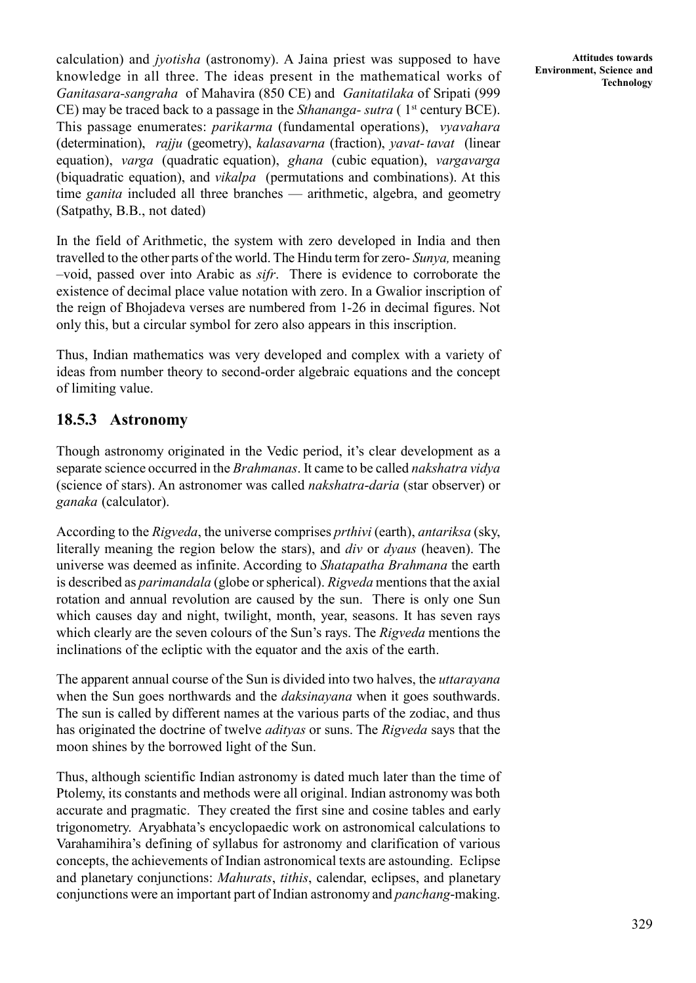calculation) and *jyotisha* (astronomy). A Jaina priest was supposed to have knowledge in all three. The ideas present in the mathematical works of *Ganitasara-sangraha* of Mahavira (850 CE) and *Ganitatilaka* of Sripati (999 CE) may be traced back to a passage in the *Sthananga- sutra* ( 1st century BCE). This passage enumerates: *parikarma* (fundamental operations), *vyavahara* (determination), *rajju* (geometry), *kalasavarna* (fraction), *yavat- tavat* (linear equation), *varga* (quadratic equation), *ghana* (cubic equation), *vargavarga* (biquadratic equation), and *vikalpa* (permutations and combinations). At this time *ganita* included all three branches — arithmetic, algebra, and geometry (Satpathy, B.B., not dated)

In the field of Arithmetic, the system with zero developed in India and then travelled to the other parts of the world. The Hindu term for zero- *Sunya,* meaning –void, passed over into Arabic as *sifr*. There is evidence to corroborate the existence of decimal place value notation with zero. In a Gwalior inscription of the reign of Bhojadeva verses are numbered from 1-26 in decimal figures. Not only this, but a circular symbol for zero also appears in this inscription.

Thus, Indian mathematics was very developed and complex with a variety of ideas from number theory to second-order algebraic equations and the concept of limiting value.

## **18.5.3 Astronomy**

Though astronomy originated in the Vedic period, it's clear development as a separate science occurred in the *Brahmanas*. It came to be called *nakshatra vidya* (science of stars). An astronomer was called *nakshatra*-*daria* (star observer) or *ganaka* (calculator).

According to the *Rigveda*, the universe comprises *prthivi* (earth), *antariksa* (sky, literally meaning the region below the stars), and *div* or *dyaus* (heaven). The universe was deemed as infinite. According to *Shatapatha Brahmana* the earth is described as *parimandala* (globe or spherical). *Rigveda* mentions that the axial rotation and annual revolution are caused by the sun. There is only one Sun which causes day and night, twilight, month, year, seasons. It has seven rays which clearly are the seven colours of the Sun's rays. The *Rigveda* mentions the inclinations of the ecliptic with the equator and the axis of the earth.

The apparent annual course of the Sun is divided into two halves, the *uttarayana* when the Sun goes northwards and the *daksinayana* when it goes southwards. The sun is called by different names at the various parts of the zodiac, and thus has originated the doctrine of twelve *adityas* or suns. The *Rigveda* says that the moon shines by the borrowed light of the Sun.

Thus, although scientific Indian astronomy is dated much later than the time of Ptolemy, its constants and methods were all original. Indian astronomy was both accurate and pragmatic. They created the first sine and cosine tables and early trigonometry. Aryabhata's encyclopaedic work on astronomical calculations to Varahamihira's defining of syllabus for astronomy and clarification of various concepts, the achievements of Indian astronomical texts are astounding. Eclipse and planetary conjunctions: *Mahurats*, *tithis*, calendar, eclipses, and planetary conjunctions were an important part of Indian astronomy and *panchang*-making.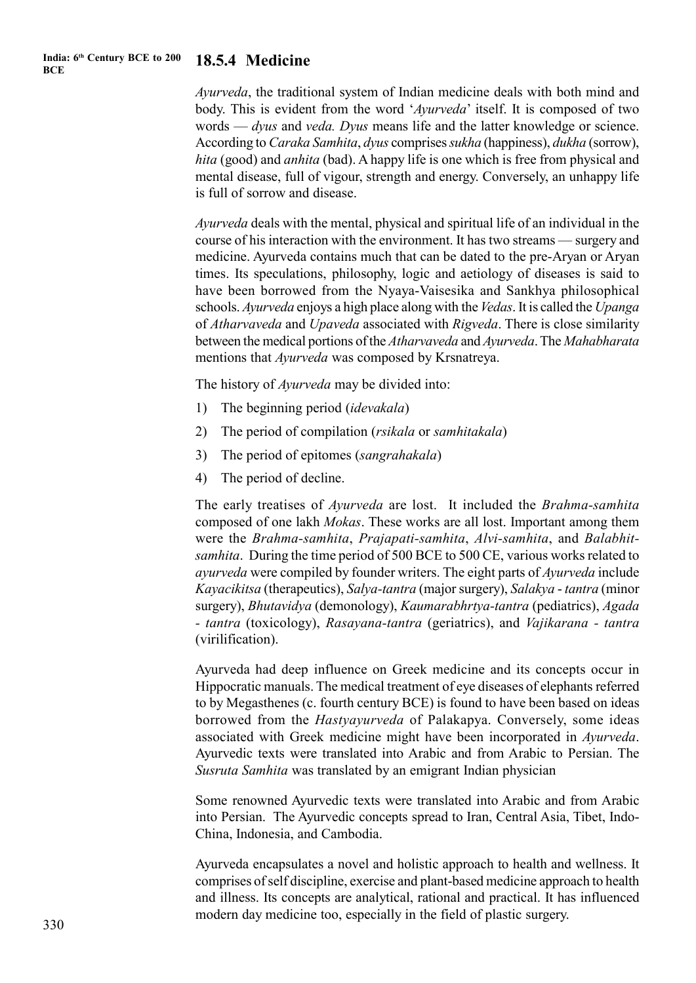#### **India: 6th Century BCE to 200 BCE**

## **18.5.4 Medicine**

*Ayurveda*, the traditional system of Indian medicine deals with both mind and body. This is evident from the word '*Ayurveda*' itself. It is composed of two words — *dyus* and *veda. Dyus* means life and the latter knowledge or science. According to *Caraka Samhita*, *dyus* comprises *sukha* (happiness), *dukha* (sorrow), *hita* (good) and *anhita* (bad). A happy life is one which is free from physical and mental disease, full of vigour, strength and energy. Conversely, an unhappy life is full of sorrow and disease.

*Ayurveda* deals with the mental, physical and spiritual life of an individual in the course of his interaction with the environment. It has two streams — surgery and medicine. Ayurveda contains much that can be dated to the pre-Aryan or Aryan times. Its speculations, philosophy, logic and aetiology of diseases is said to have been borrowed from the Nyaya-Vaisesika and Sankhya philosophical schools. *Ayurveda* enjoys a high place along with the *Vedas*. It is called the *Upanga* of *Atharvaveda* and *Upaveda* associated with *Rigveda*. There is close similarity between the medical portions of the *Atharvaveda* and *Ayurveda*. The *Mahabharata* mentions that *Ayurveda* was composed by Krsnatreya.

The history of *Ayurveda* may be divided into:

- 1) The beginning period (*idevakala*)
- 2) The period of compilation (*rsikala* or *samhitakala*)
- 3) The period of epitomes (*sangrahakala*)
- 4) The period of decline.

The early treatises of *Ayurveda* are lost. It included the *Brahma-samhita* composed of one lakh *Mokas*. These works are all lost. Important among them were the *Brahma-samhita*, *Prajapati-samhita*, *Alvi-samhita*, and *Balabhitsamhita*. During the time period of 500 BCE to 500 CE, various works related to *ayurveda* were compiled by founder writers. The eight parts of *Ayurveda* include *Kayacikitsa* (therapeutics), *Salya-tantra* (major surgery), *Salakya* - *tantra* (minor surgery), *Bhutavidya* (demonology), *Kaumarabhrtya-tantra* (pediatrics), *Agada - tantra* (toxicology), *Rasayana-tantra* (geriatrics), and *Vajikarana - tantra* (virilification).

Ayurveda had deep influence on Greek medicine and its concepts occur in Hippocratic manuals. The medical treatment of eye diseases of elephants referred to by Megasthenes (c. fourth century BCE) is found to have been based on ideas borrowed from the *Hastyayurveda* of Palakapya. Conversely, some ideas associated with Greek medicine might have been incorporated in *Ayurveda*. Ayurvedic texts were translated into Arabic and from Arabic to Persian. The *Susruta Samhita* was translated by an emigrant Indian physician

Some renowned Ayurvedic texts were translated into Arabic and from Arabic into Persian. The Ayurvedic concepts spread to Iran, Central Asia, Tibet, Indo-China, Indonesia, and Cambodia.

Ayurveda encapsulates a novel and holistic approach to health and wellness. It comprises of self discipline, exercise and plant-based medicine approach to health and illness. Its concepts are analytical, rational and practical. It has influenced modern day medicine too, especially in the field of plastic surgery.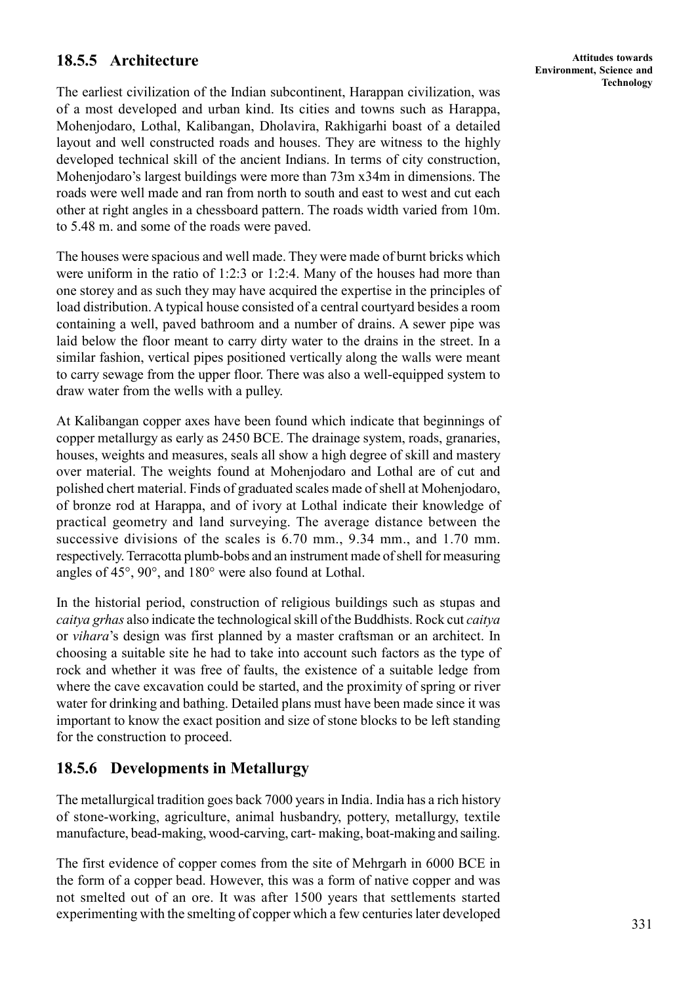## **18.5.5 Architecture**

The earliest civilization of the Indian subcontinent, Harappan civilization, was of a most developed and urban kind. Its cities and towns such as Harappa, Mohenjodaro, Lothal, Kalibangan, Dholavira, Rakhigarhi boast of a detailed layout and well constructed roads and houses. They are witness to the highly developed technical skill of the ancient Indians. In terms of city construction, Mohenjodaro's largest buildings were more than 73m x34m in dimensions. The roads were well made and ran from north to south and east to west and cut each other at right angles in a chessboard pattern. The roads width varied from 10m. to 5.48 m. and some of the roads were paved.

The houses were spacious and well made. They were made of burnt bricks which were uniform in the ratio of 1:2:3 or 1:2:4. Many of the houses had more than one storey and as such they may have acquired the expertise in the principles of load distribution. A typical house consisted of a central courtyard besides a room containing a well, paved bathroom and a number of drains. A sewer pipe was laid below the floor meant to carry dirty water to the drains in the street. In a similar fashion, vertical pipes positioned vertically along the walls were meant to carry sewage from the upper floor. There was also a well-equipped system to draw water from the wells with a pulley.

At Kalibangan copper axes have been found which indicate that beginnings of copper metallurgy as early as 2450 BCE. The drainage system, roads, granaries, houses, weights and measures, seals all show a high degree of skill and mastery over material. The weights found at Mohenjodaro and Lothal are of cut and polished chert material. Finds of graduated scales made of shell at Mohenjodaro, of bronze rod at Harappa, and of ivory at Lothal indicate their knowledge of practical geometry and land surveying. The average distance between the successive divisions of the scales is 6.70 mm., 9.34 mm., and 1.70 mm. respectively. Terracotta plumb-bobs and an instrument made of shell for measuring angles of 45°, 90°, and 180° were also found at Lothal.

In the historial period, construction of religious buildings such as stupas and *caitya grhas* also indicate the technological skill of the Buddhists. Rock cut *caitya* or *vihara*'s design was first planned by a master craftsman or an architect. In choosing a suitable site he had to take into account such factors as the type of rock and whether it was free of faults, the existence of a suitable ledge from where the cave excavation could be started, and the proximity of spring or river water for drinking and bathing. Detailed plans must have been made since it was important to know the exact position and size of stone blocks to be left standing for the construction to proceed.

## **18.5.6 Developments in Metallurgy**

The metallurgical tradition goes back 7000 years in India. India has a rich history of stone-working, agriculture, animal husbandry, pottery, metallurgy, textile manufacture, bead-making, wood-carving, cart- making, boat-making and sailing.

The first evidence of copper comes from the site of Mehrgarh in 6000 BCE in the form of a copper bead. However, this was a form of native copper and was not smelted out of an ore. It was after 1500 years that settlements started experimenting with the smelting of copper which a few centuries later developed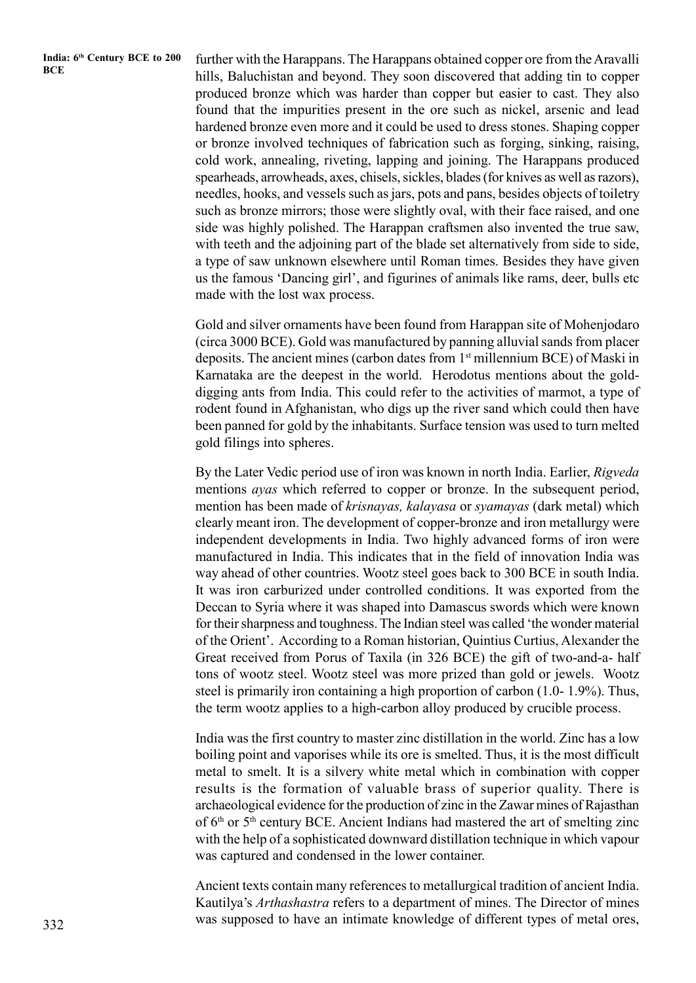**India: 6th Century BCE to 200**

**India:** 6<sup>th</sup> Century BCE to 200 further with the Harappans. The Harappans obtained copper ore from the Aravalli hills, Baluchistan and beyond. They soon discovered that adding tin to copper produced bronze which was harder than copper but easier to cast. They also found that the impurities present in the ore such as nickel, arsenic and lead hardened bronze even more and it could be used to dress stones. Shaping copper or bronze involved techniques of fabrication such as forging, sinking, raising, cold work, annealing, riveting, lapping and joining. The Harappans produced spearheads, arrowheads, axes, chisels, sickles, blades (for knives as well as razors), needles, hooks, and vessels such as jars, pots and pans, besides objects of toiletry such as bronze mirrors; those were slightly oval, with their face raised, and one side was highly polished. The Harappan craftsmen also invented the true saw, with teeth and the adjoining part of the blade set alternatively from side to side, a type of saw unknown elsewhere until Roman times. Besides they have given us the famous 'Dancing girl', and figurines of animals like rams, deer, bulls etc made with the lost wax process.

> Gold and silver ornaments have been found from Harappan site of Mohenjodaro (circa 3000 BCE). Gold was manufactured by panning alluvial sands from placer deposits. The ancient mines (carbon dates from 1<sup>st</sup> millennium BCE) of Maski in Karnataka are the deepest in the world. Herodotus mentions about the golddigging ants from India. This could refer to the activities of marmot, a type of rodent found in Afghanistan, who digs up the river sand which could then have been panned for gold by the inhabitants. Surface tension was used to turn melted gold filings into spheres.

> By the Later Vedic period use of iron was known in north India. Earlier, *Rigveda* mentions *ayas* which referred to copper or bronze. In the subsequent period, mention has been made of *krisnayas, kalayasa* or *syamayas* (dark metal) which clearly meant iron. The development of copper-bronze and iron metallurgy were independent developments in India. Two highly advanced forms of iron were manufactured in India. This indicates that in the field of innovation India was way ahead of other countries. Wootz steel goes back to 300 BCE in south India. It was iron carburized under controlled conditions. It was exported from the Deccan to Syria where it was shaped into Damascus swords which were known for their sharpness and toughness. The Indian steel was called 'the wonder material of the Orient'. According to a Roman historian, Quintius Curtius, Alexander the Great received from Porus of Taxila (in 326 BCE) the gift of two-and-a- half tons of wootz steel. Wootz steel was more prized than gold or jewels. Wootz steel is primarily iron containing a high proportion of carbon (1.0- 1.9%). Thus, the term wootz applies to a high-carbon alloy produced by crucible process.

> India was the first country to master zinc distillation in the world. Zinc has a low boiling point and vaporises while its ore is smelted. Thus, it is the most difficult metal to smelt. It is a silvery white metal which in combination with copper results is the formation of valuable brass of superior quality. There is archaeological evidence for the production of zinc in the Zawar mines of Rajasthan of  $6<sup>th</sup>$  or  $5<sup>th</sup>$  century BCE. Ancient Indians had mastered the art of smelting zinc with the help of a sophisticated downward distillation technique in which vapour was captured and condensed in the lower container.

> Ancient texts contain many references to metallurgical tradition of ancient India. Kautilya's *Arthashastra* refers to a department of mines. The Director of mines was supposed to have an intimate knowledge of different types of metal ores,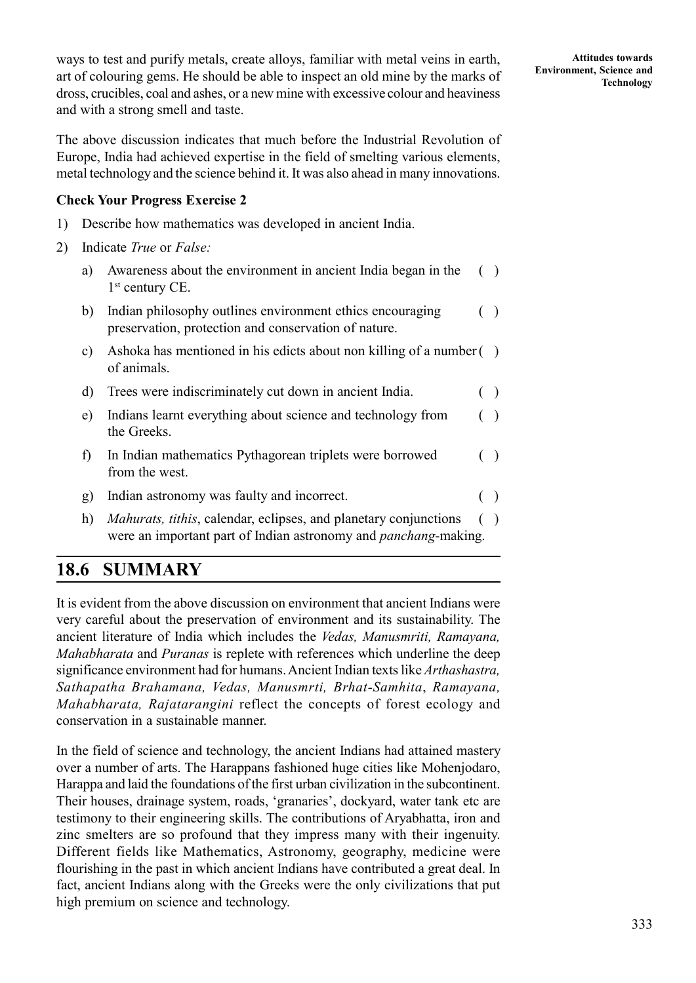ways to test and purify metals, create alloys, familiar with metal veins in earth, art of colouring gems. He should be able to inspect an old mine by the marks of dross, crucibles, coal and ashes, or a new mine with excessive colour and heaviness and with a strong smell and taste.

The above discussion indicates that much before the Industrial Revolution of Europe, India had achieved expertise in the field of smelting various elements, metal technology and the science behind it. It was also ahead in many innovations.

### **Check Your Progress Exercise 2**

- 1) Describe how mathematics was developed in ancient India.
- 2) Indicate *True* or *False:*
	- a) Awareness about the environment in ancient India began in the ( ) 1<sup>st</sup> century CE.
	- b) Indian philosophy outlines environment ethics encouraging () preservation, protection and conservation of nature.
	- c) Ashoka has mentioned in his edicts about non killing of a number ( ) of animals.
	- d) Trees were indiscriminately cut down in ancient India. ( )
	- e) Indians learnt everything about science and technology from ( ) the Greeks.
	- f) In Indian mathematics Pythagorean triplets were borrowed ( ) from the west.
	- g) Indian astronomy was faulty and incorrect. ( )
	- h) *Mahurats, tithis, calendar, eclipses, and planetary conjunctions* () were an important part of Indian astronomy and *panchang*-making.

# **18.6 SUMMARY**

It is evident from the above discussion on environment that ancient Indians were very careful about the preservation of environment and its sustainability. The ancient literature of India which includes the *Vedas, Manusmriti, Ramayana, Mahabharata* and *Puranas* is replete with references which underline the deep significance environment had for humans. Ancient Indian texts like *Arthashastra, Sathapatha Brahamana, Vedas, Manusmrti, Brhat-Samhita*, *Ramayana, Mahabharata, Rajatarangini* reflect the concepts of forest ecology and conservation in a sustainable manner.

In the field of science and technology, the ancient Indians had attained mastery over a number of arts. The Harappans fashioned huge cities like Mohenjodaro, Harappa and laid the foundations of the first urban civilization in the subcontinent. Their houses, drainage system, roads, 'granaries', dockyard, water tank etc are testimony to their engineering skills. The contributions of Aryabhatta, iron and zinc smelters are so profound that they impress many with their ingenuity. Different fields like Mathematics, Astronomy, geography, medicine were flourishing in the past in which ancient Indians have contributed a great deal. In fact, ancient Indians along with the Greeks were the only civilizations that put high premium on science and technology.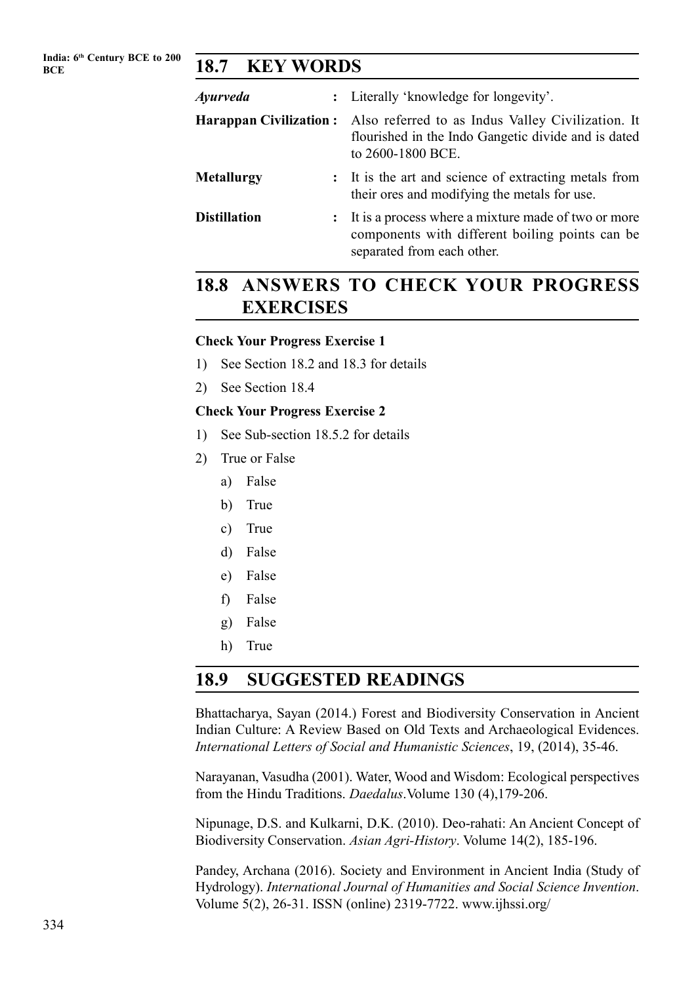## **BCE 18.7 KEY WORDS**

| Ayurveda            | : Literally 'knowledge for longevity'.                                                                                                                      |
|---------------------|-------------------------------------------------------------------------------------------------------------------------------------------------------------|
|                     | <b>Harappan Civilization:</b> Also referred to as Indus Valley Civilization. It<br>flourished in the Indo Gangetic divide and is dated<br>to 2600-1800 BCE. |
| Metallurgy          | : It is the art and science of extracting metals from<br>their ores and modifying the metals for use.                                                       |
| <b>Distillation</b> | : It is a process where a mixture made of two or more<br>components with different boiling points can be<br>separated from each other.                      |

# **18.8 ANSWERS TO CHECK YOUR PROGRESS EXERCISES**

#### **Check Your Progress Exercise 1**

- 1) See Section 18.2 and 18.3 for details
- 2) See Section 18.4

#### **Check Your Progress Exercise 2**

- 1) See Sub-section 18.5.2 for details
- 2) True or False
	- a) False
	- b) True
	- c) True
	- d) False
	- e) False
	- f) False
	- g) False
	- h) True

## **18.9 SUGGESTED READINGS**

Bhattacharya, Sayan (2014.) Forest and Biodiversity Conservation in Ancient Indian Culture: A Review Based on Old Texts and Archaeological Evidences. *International Letters of Social and Humanistic Sciences*, 19, (2014), 35-46.

Narayanan, Vasudha (2001). Water, Wood and Wisdom: Ecological perspectives from the Hindu Traditions. *Daedalus*.Volume 130 (4),179-206.

Nipunage, D.S. and Kulkarni, D.K. (2010). Deo-rahati: An Ancient Concept of Biodiversity Conservation. *Asian Agri-History*. Volume 14(2), 185-196.

Pandey, Archana (2016). Society and Environment in Ancient India (Study of Hydrology). *International Journal of Humanities and Social Science Invention*. Volume 5(2), 26-31. ISSN (online) 2319-7722. www.ijhssi.org/